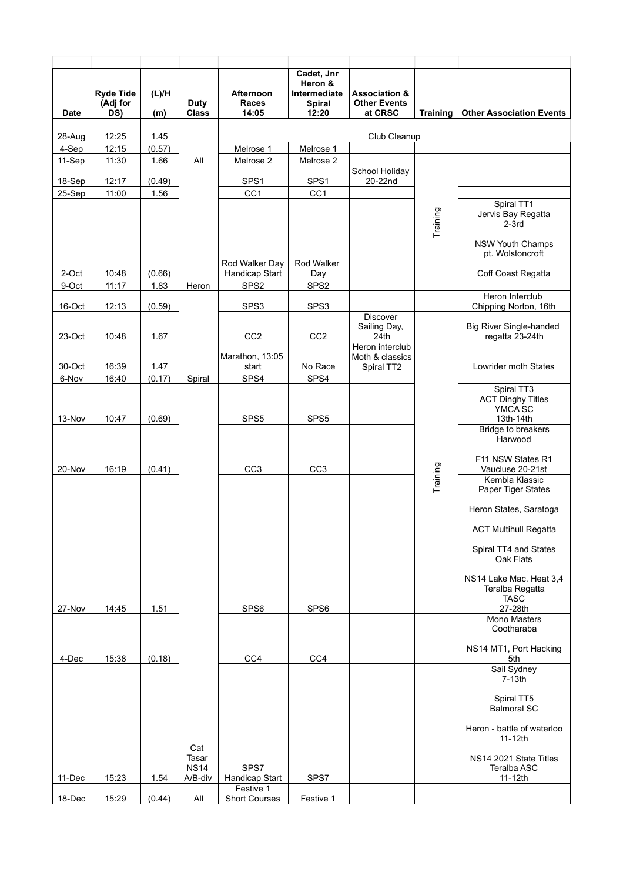| <b>Date</b>     | <b>Ryde Tide</b><br>(Adj for<br>DS) | (L)/H<br>(m)   | Duty<br><b>Class</b>            | Afternoon<br>Races<br>14:05 | Cadet, Jnr<br>Heron &<br>Intermediate<br><b>Spiral</b><br>12:20 | <b>Association &amp;</b><br><b>Other Events</b><br>at CRSC | <b>Training</b> | <b>Other Association Events</b>                                |
|-----------------|-------------------------------------|----------------|---------------------------------|-----------------------------|-----------------------------------------------------------------|------------------------------------------------------------|-----------------|----------------------------------------------------------------|
|                 |                                     |                |                                 |                             |                                                                 |                                                            |                 |                                                                |
| 28-Aug<br>4-Sep | 12:25<br>12:15                      | 1.45<br>(0.57) |                                 | Melrose 1                   | Melrose 1                                                       | Club Cleanup                                               |                 |                                                                |
| 11-Sep          | 11:30                               | 1.66           | All                             | Melrose 2                   | Melrose 2                                                       |                                                            |                 |                                                                |
| 18-Sep          | 12:17                               | (0.49)         |                                 | SPS1                        | SPS1                                                            | School Holiday<br>20-22nd                                  |                 |                                                                |
| 25-Sep          | 11:00                               | 1.56           |                                 | CC <sub>1</sub>             | CC <sub>1</sub>                                                 |                                                            |                 |                                                                |
|                 |                                     |                |                                 |                             |                                                                 |                                                            | Training        | Spiral TT1<br>Jervis Bay Regatta<br>$2-3rd$                    |
|                 |                                     |                |                                 | Rod Walker Day              | Rod Walker                                                      |                                                            |                 | <b>NSW Youth Champs</b><br>pt. Wolstoncroft                    |
| 2-Oct           | 10:48                               | (0.66)         |                                 | Handicap Start              | Day                                                             |                                                            |                 | Coff Coast Regatta                                             |
| 9-Oct           | 11:17                               | 1.83           | Heron                           | SPS <sub>2</sub>            | SPS <sub>2</sub>                                                |                                                            |                 | Heron Interclub                                                |
| 16-Oct          | 12:13                               | (0.59)         |                                 | SPS3                        | SPS3                                                            |                                                            |                 | Chipping Norton, 16th                                          |
| 23-Oct          | 10:48                               | 1.67           |                                 | CC <sub>2</sub>             | CC <sub>2</sub>                                                 | Discover<br>Sailing Day,<br>24th                           |                 | <b>Big River Single-handed</b><br>regatta 23-24th              |
| 30-Oct          | 16:39                               | 1.47           |                                 | Marathon, 13:05<br>start    | No Race                                                         | Heron interclub<br>Moth & classics<br>Spiral TT2           |                 | Lowrider moth States                                           |
| 6-Nov           | 16:40                               | (0.17)         | Spiral                          | SPS4                        | SPS4                                                            |                                                            |                 |                                                                |
| 13-Nov          | 10:47                               | (0.69)         |                                 | SPS <sub>5</sub>            | SPS <sub>5</sub>                                                |                                                            |                 | Spiral TT3<br><b>ACT Dinghy Titles</b><br>YMCA SC<br>13th-14th |
|                 |                                     |                |                                 |                             |                                                                 |                                                            |                 | Bridge to breakers<br>Harwood                                  |
| 20-Nov          | 16:19                               | (0.41)         |                                 | CC <sub>3</sub>             | CC <sub>3</sub>                                                 |                                                            |                 | F11 NSW States R1<br>Vaucluse 20-21st                          |
|                 |                                     |                |                                 |                             |                                                                 |                                                            | Training        | Kembla Klassic<br>Paper Tiger States                           |
|                 |                                     |                |                                 |                             |                                                                 |                                                            |                 | Heron States, Saratoga                                         |
|                 |                                     |                |                                 |                             |                                                                 |                                                            |                 | <b>ACT Multihull Regatta</b>                                   |
|                 |                                     |                |                                 |                             |                                                                 |                                                            |                 | Spiral TT4 and States<br>Oak Flats                             |
|                 |                                     |                |                                 |                             |                                                                 |                                                            |                 | NS14 Lake Mac. Heat 3,4<br>Teralba Regatta<br><b>TASC</b>      |
| 27-Nov          | 14:45                               | 1.51           |                                 | SPS6                        | SPS6                                                            |                                                            |                 | 27-28th<br>Mono Masters                                        |
|                 |                                     |                |                                 |                             |                                                                 |                                                            |                 | Cootharaba                                                     |
| 4-Dec           | 15:38                               | (0.18)         |                                 | CC4                         | CC4                                                             |                                                            |                 | NS14 MT1, Port Hacking<br>5th                                  |
|                 |                                     |                |                                 |                             |                                                                 |                                                            |                 | Sail Sydney<br>7-13th                                          |
|                 |                                     |                |                                 |                             |                                                                 |                                                            |                 | Spiral TT5<br><b>Balmoral SC</b>                               |
|                 |                                     |                | Cat                             |                             |                                                                 |                                                            |                 | Heron - battle of waterloo<br>11-12th                          |
| 11-Dec          | 15:23                               | 1.54           | Tasar<br><b>NS14</b><br>A/B-div | SPS7<br>Handicap Start      | SPS7                                                            |                                                            |                 | NS <sub>14</sub> 2021 State Titles<br>Teralba ASC              |
|                 |                                     |                |                                 | Festive 1                   |                                                                 |                                                            |                 | 11-12th                                                        |
| 18-Dec          | 15:29                               | (0.44)         | All                             | <b>Short Courses</b>        | Festive 1                                                       |                                                            |                 |                                                                |